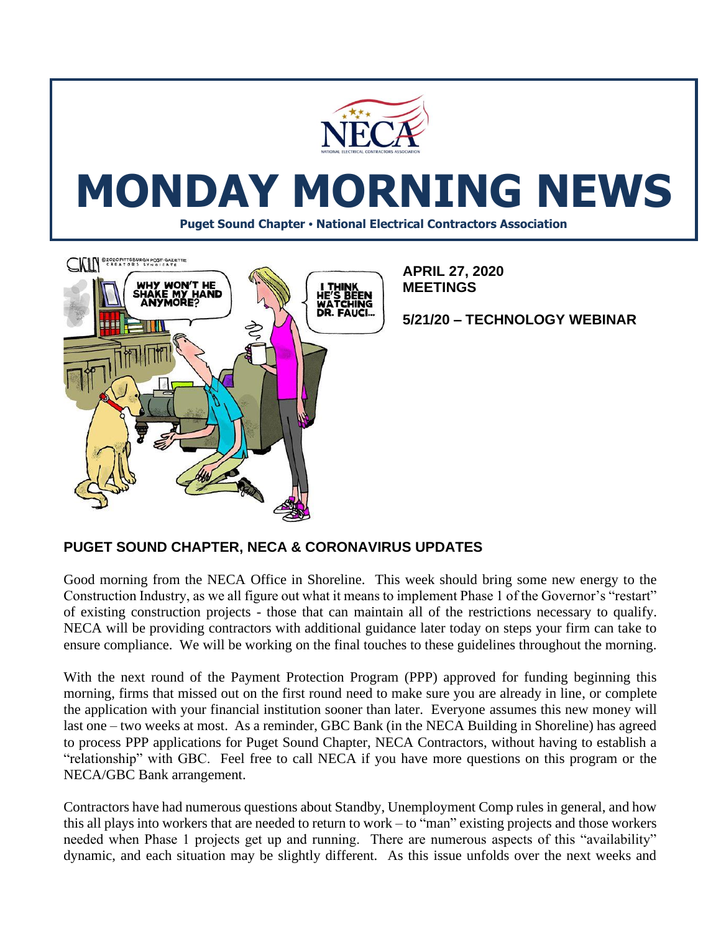



**APRIL 27, 2020 MEETINGS**

**5/21/20 – TECHNOLOGY WEBINAR**

## **PUGET SOUND CHAPTER, NECA & CORONAVIRUS UPDATES**

Good morning from the NECA Office in Shoreline. This week should bring some new energy to the Construction Industry, as we all figure out what it means to implement Phase 1 of the Governor's "restart" of existing construction projects - those that can maintain all of the restrictions necessary to qualify. NECA will be providing contractors with additional guidance later today on steps your firm can take to ensure compliance. We will be working on the final touches to these guidelines throughout the morning.

With the next round of the Payment Protection Program (PPP) approved for funding beginning this morning, firms that missed out on the first round need to make sure you are already in line, or complete the application with your financial institution sooner than later. Everyone assumes this new money will last one – two weeks at most. As a reminder, GBC Bank (in the NECA Building in Shoreline) has agreed to process PPP applications for Puget Sound Chapter, NECA Contractors, without having to establish a "relationship" with GBC. Feel free to call NECA if you have more questions on this program or the NECA/GBC Bank arrangement.

Contractors have had numerous questions about Standby, Unemployment Comp rules in general, and how this all plays into workers that are needed to return to work – to "man" existing projects and those workers needed when Phase 1 projects get up and running. There are numerous aspects of this "availability" dynamic, and each situation may be slightly different. As this issue unfolds over the next weeks and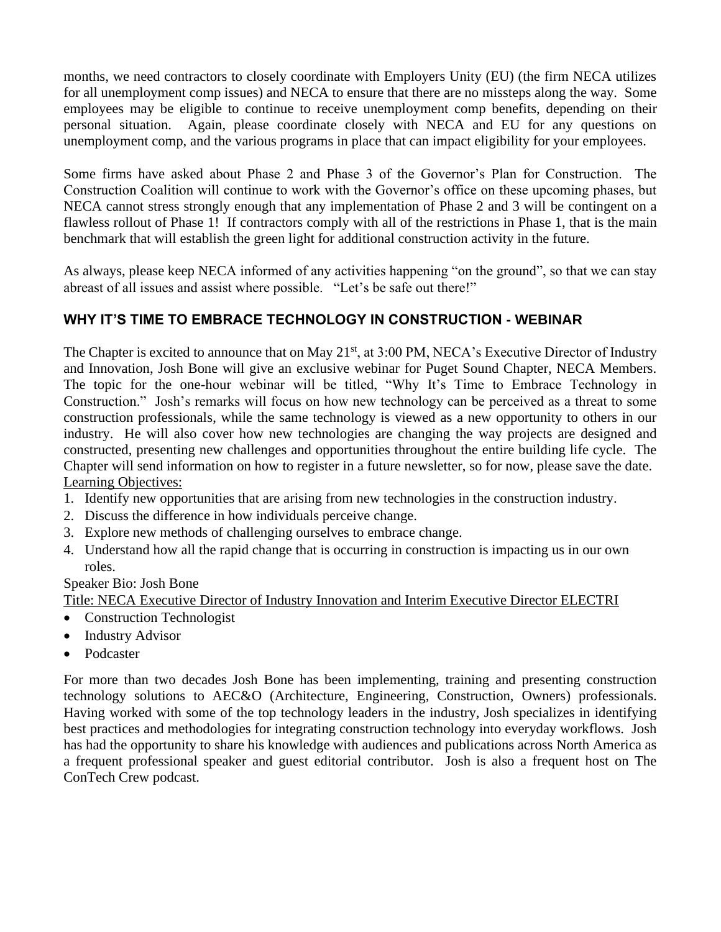months, we need contractors to closely coordinate with Employers Unity (EU) (the firm NECA utilizes for all unemployment comp issues) and NECA to ensure that there are no missteps along the way. Some employees may be eligible to continue to receive unemployment comp benefits, depending on their personal situation. Again, please coordinate closely with NECA and EU for any questions on unemployment comp, and the various programs in place that can impact eligibility for your employees.

Some firms have asked about Phase 2 and Phase 3 of the Governor's Plan for Construction. The Construction Coalition will continue to work with the Governor's office on these upcoming phases, but NECA cannot stress strongly enough that any implementation of Phase 2 and 3 will be contingent on a flawless rollout of Phase 1! If contractors comply with all of the restrictions in Phase 1, that is the main benchmark that will establish the green light for additional construction activity in the future.

As always, please keep NECA informed of any activities happening "on the ground", so that we can stay abreast of all issues and assist where possible. "Let's be safe out there!"

# **WHY IT'S TIME TO EMBRACE TECHNOLOGY IN CONSTRUCTION - WEBINAR**

The Chapter is excited to announce that on May 21<sup>st</sup>, at 3:00 PM, NECA's Executive Director of Industry and Innovation, Josh Bone will give an exclusive webinar for Puget Sound Chapter, NECA Members. The topic for the one-hour webinar will be titled, "Why It's Time to Embrace Technology in Construction." Josh's remarks will focus on how new technology can be perceived as a threat to some construction professionals, while the same technology is viewed as a new opportunity to others in our industry. He will also cover how new technologies are changing the way projects are designed and constructed, presenting new challenges and opportunities throughout the entire building life cycle. The Chapter will send information on how to register in a future newsletter, so for now, please save the date. Learning Objectives:

- 1. Identify new opportunities that are arising from new technologies in the construction industry.
- 2. Discuss the difference in how individuals perceive change.
- 3. Explore new methods of challenging ourselves to embrace change.
- 4. Understand how all the rapid change that is occurring in construction is impacting us in our own roles.

Speaker Bio: Josh Bone

Title: NECA Executive Director of Industry Innovation and Interim Executive Director ELECTRI

- Construction Technologist
- Industry Advisor
- Podcaster

For more than two decades Josh Bone has been implementing, training and presenting construction technology solutions to AEC&O (Architecture, Engineering, Construction, Owners) professionals. Having worked with some of the top technology leaders in the industry, Josh specializes in identifying best practices and methodologies for integrating construction technology into everyday workflows. Josh has had the opportunity to share his knowledge with audiences and publications across North America as a frequent professional speaker and guest editorial contributor. Josh is also a frequent host on The ConTech Crew podcast.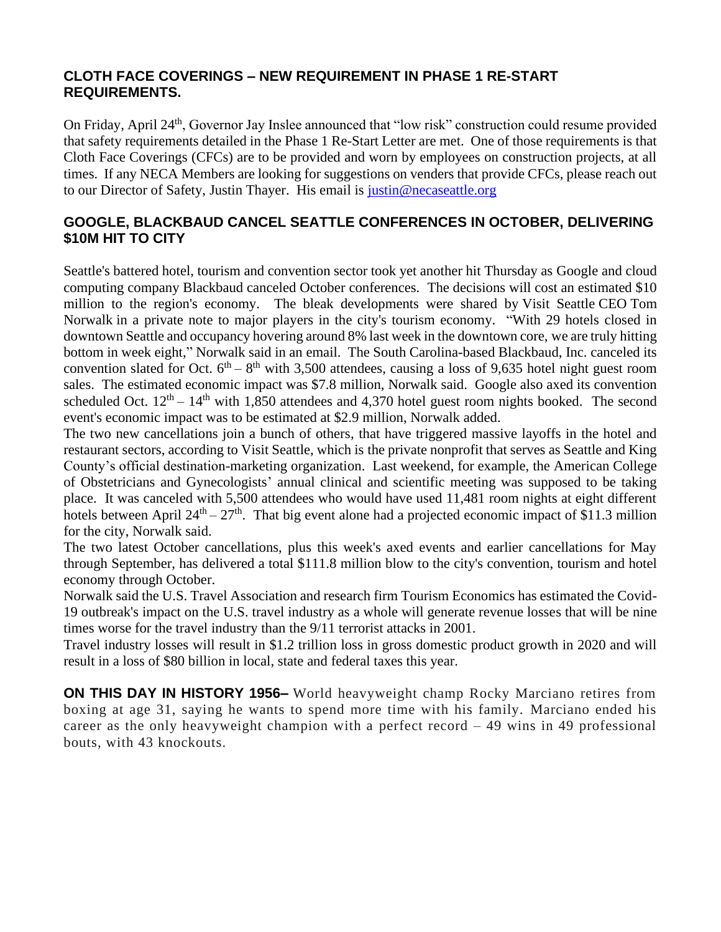#### **CLOTH FACE COVERINGS – NEW REQUIREMENT IN PHASE 1 RE-START REQUIREMENTS.**

On Friday, April 24<sup>th</sup>, Governor Jay Inslee announced that "low risk" construction could resume provided that safety requirements detailed in the Phase 1 Re-Start Letter are met. One of those requirements is that Cloth Face Coverings (CFCs) are to be provided and worn by employees on construction projects, at all times. If any NECA Members are looking for suggestions on venders that provide CFCs, please reach out to our Director of Safety, Justin Thayer. His email is [justin@necaseattle.org](mailto:justin@necaseattle.org)

## **GOOGLE, BLACKBAUD CANCEL SEATTLE CONFERENCES IN OCTOBER, DELIVERING \$10M HIT TO CITY**

Seattle's battered hotel, tourism and convention sector took yet another hit Thursday as [Google](https://www.bizjournals.com/profile/company/org_ch_150a2caa9e00ca998e928e3c889bd000) and cloud computing company Blackbaud canceled October conferences. The decisions will cost an estimated \$10 million to the region's economy. The bleak developments were shared by [Visit Seattle](https://www.bizjournals.com/profile/company/org_xx_0fc230a8267611e99cbc12c1e58b58b2) CEO [Tom](https://www.bizjournals.com/seattle/search/results?q=Tom%20Norwalk)  [Norwalk](https://www.bizjournals.com/seattle/search/results?q=Tom%20Norwalk) in a private note to major players in the city's tourism economy. "With 29 hotels closed in downtown Seattle and occupancy hovering around 8% last week in the downtown core, we are truly hitting bottom in week eight," Norwalk said in an email. The South Carolina-based Blackbaud, Inc. canceled its convention slated for Oct.  $6<sup>th</sup> - 8<sup>th</sup>$  with 3,500 attendees, causing a loss of 9,635 hotel night guest room sales. The estimated economic impact was \$7.8 million, Norwalk said. Google also axed its convention scheduled Oct.  $12<sup>th</sup> - 14<sup>th</sup>$  with 1,850 attendees and 4,370 hotel guest room nights booked. The second event's economic impact was to be estimated at \$2.9 million, Norwalk added.

The two new cancellations join a bunch of others, that have triggered massive layoffs in the hotel and restaurant sectors, according to Visit Seattle, which is the private nonprofit that serves as Seattle and King County's official destination-marketing organization. Last weekend, for example, the American College of Obstetricians and Gynecologists' annual clinical and scientific meeting was supposed to be taking place. It was canceled with 5,500 attendees who would have used 11,481 room nights at eight different hotels between April  $24<sup>th</sup> - 27<sup>th</sup>$ . That big event alone had a projected economic impact of \$11.3 million for the city, Norwalk said.

The two latest October cancellations, plus this week's axed events and earlier cancellations for May through September, has delivered a total \$111.8 million blow to the city's convention, tourism and hotel economy through October.

Norwalk said the U.S. Travel Association and research firm Tourism Economics has estimated the Covid-19 outbreak's impact on the U.S. travel industry as a whole will generate revenue losses that will be nine times worse for the travel industry than the 9/11 terrorist attacks in 2001.

Travel industry losses will result in \$1.2 trillion loss in gross domestic product growth in 2020 and will result in a loss of \$80 billion in local, state and federal taxes this year.

**ON THIS DAY IN HISTORY 1956–** World heavyweight champ Rocky Marciano retires from boxing at age 31, saying he wants to spend more time with his family. Marciano ended his career as the only heavyweight champion with a perfect record – 49 wins in 49 professional bouts, with 43 knockouts.